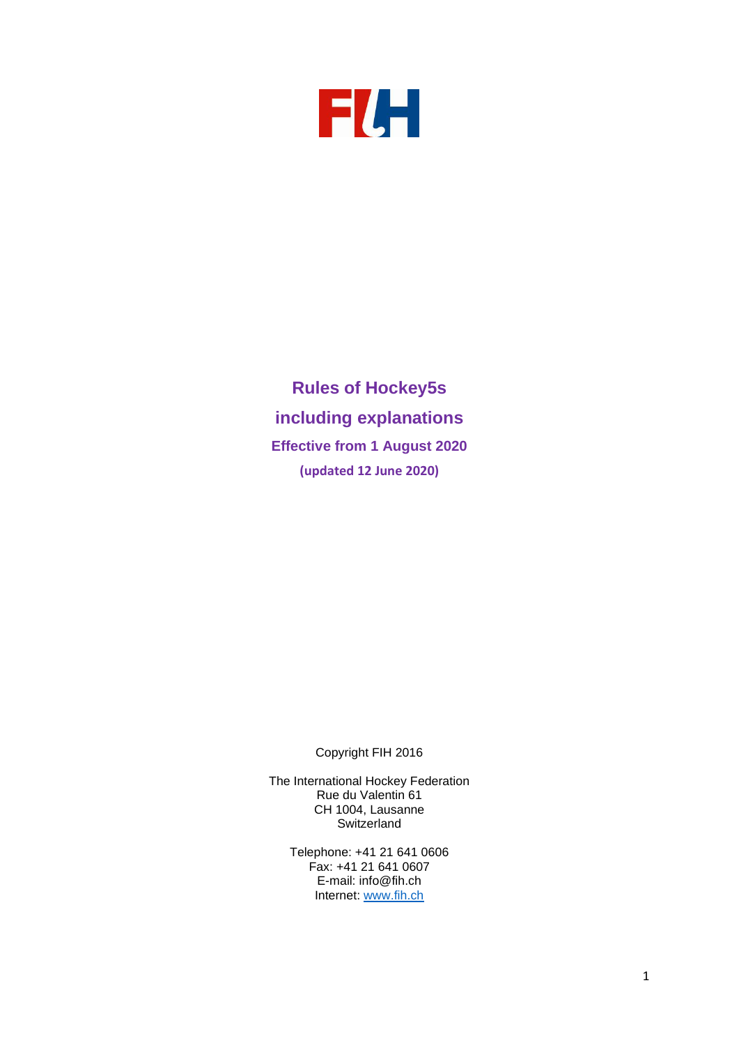

**Rules of Hockey5s including explanations Effective from 1 August 2020 (updated 12 June 2020)**

Copyright FIH 2016

The International Hockey Federation Rue du Valentin 61 CH 1004, Lausanne **Switzerland** 

Telephone: +41 21 641 0606 Fax: +41 21 641 0607 E-mail: info@fih.ch Internet: [www.fih.ch](http://www.fih.ch/)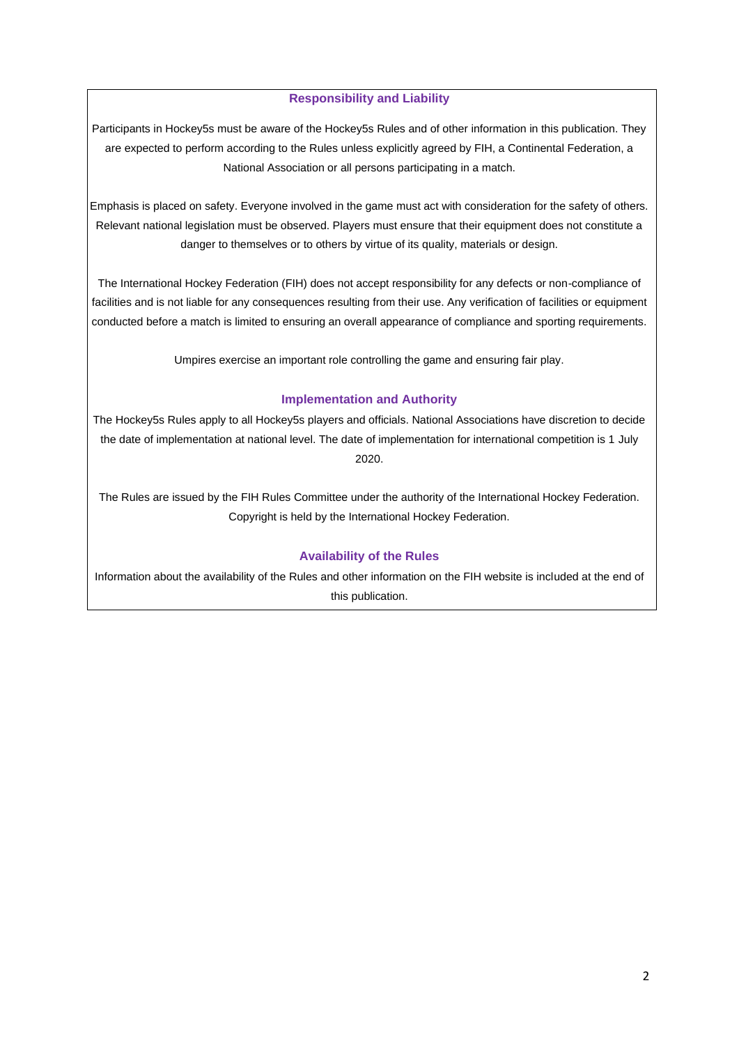## **Responsibility and Liability**

Participants in Hockey5s must be aware of the Hockey5s Rules and of other information in this publication. They are expected to perform according to the Rules unless explicitly agreed by FIH, a Continental Federation, a National Association or all persons participating in a match.

Emphasis is placed on safety. Everyone involved in the game must act with consideration for the safety of others. Relevant national legislation must be observed. Players must ensure that their equipment does not constitute a danger to themselves or to others by virtue of its quality, materials or design.

The International Hockey Federation (FIH) does not accept responsibility for any defects or non-compliance of facilities and is not liable for any consequences resulting from their use. Any verification of facilities or equipment conducted before a match is limited to ensuring an overall appearance of compliance and sporting requirements.

Umpires exercise an important role controlling the game and ensuring fair play.

# **Implementation and Authority**

The Hockey5s Rules apply to all Hockey5s players and officials. National Associations have discretion to decide the date of implementation at national level. The date of implementation for international competition is 1 July 2020.

The Rules are issued by the FIH Rules Committee under the authority of the International Hockey Federation. Copyright is held by the International Hockey Federation.

# **Availability of the Rules**

Information about the availability of the Rules and other information on the FIH website is included at the end of this publication.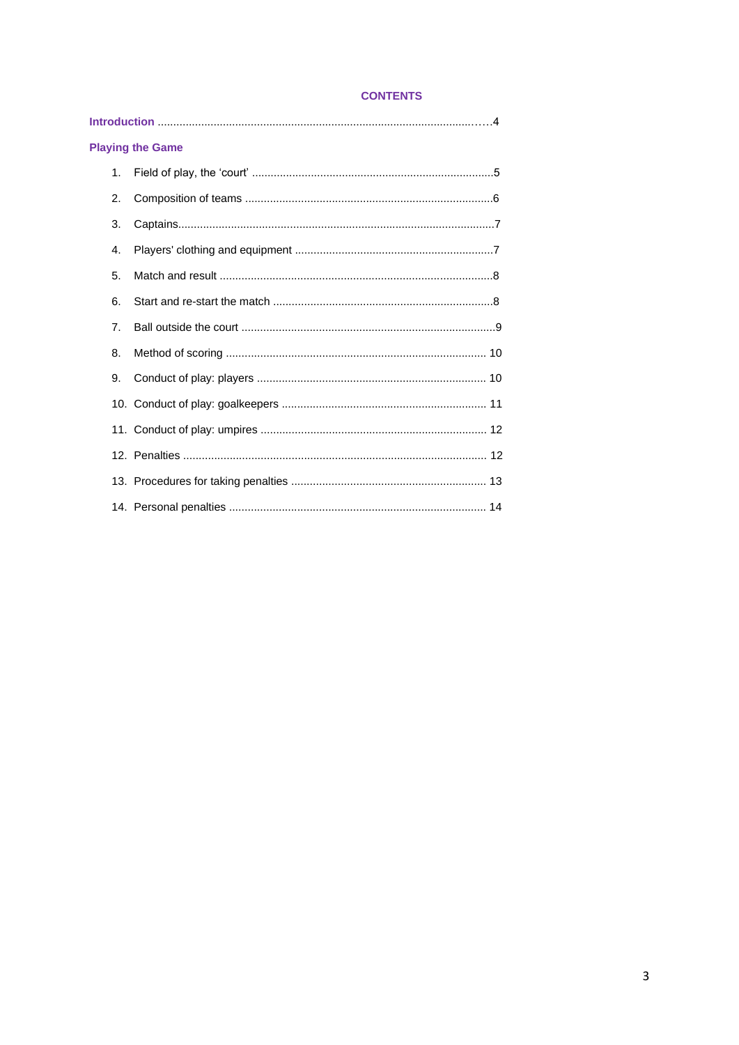# **CONTENTS**

| <b>Playing the Game</b> |  |
|-------------------------|--|
| 1 <sub>1</sub>          |  |
| 2.                      |  |
| 3.                      |  |
| 4.                      |  |
| 5.                      |  |
| 6.                      |  |
| 7 <sub>1</sub>          |  |
| 8.                      |  |
| 9.                      |  |
|                         |  |
|                         |  |
|                         |  |
|                         |  |
|                         |  |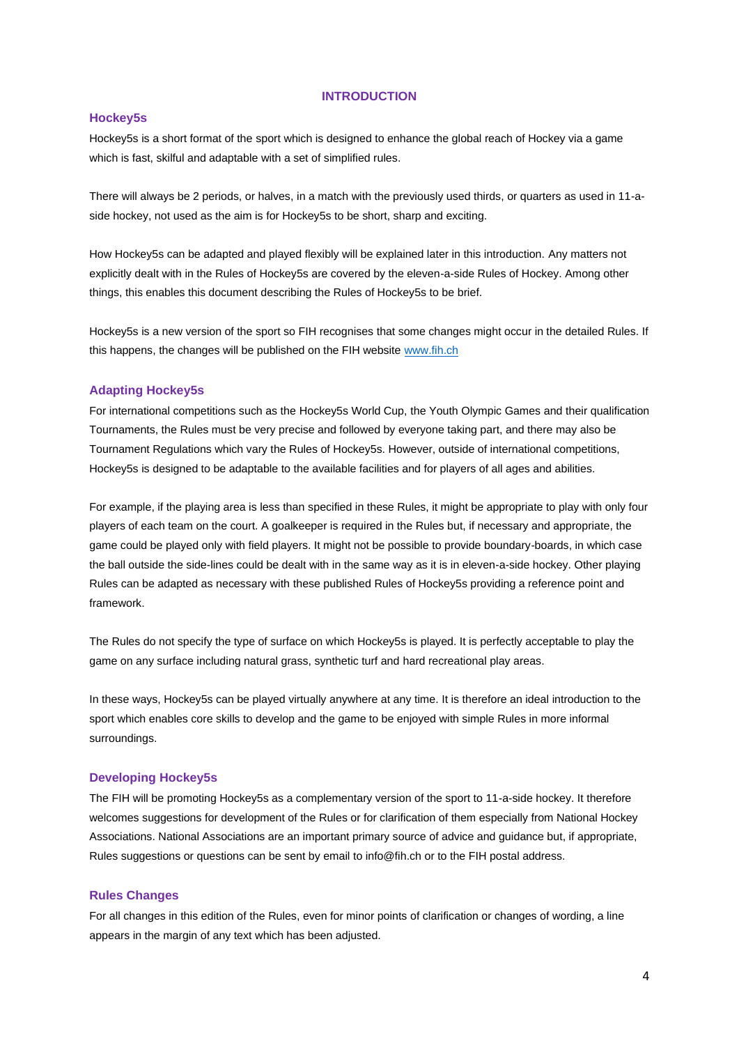#### **INTRODUCTION**

#### **Hockey5s**

Hockey5s is a short format of the sport which is designed to enhance the global reach of Hockey via a game which is fast, skilful and adaptable with a set of simplified rules.

There will always be 2 periods, or halves, in a match with the previously used thirds, or quarters as used in 11-aside hockey, not used as the aim is for Hockey5s to be short, sharp and exciting.

How Hockey5s can be adapted and played flexibly will be explained later in this introduction. Any matters not explicitly dealt with in the Rules of Hockey5s are covered by the eleven-a-side Rules of Hockey. Among other things, this enables this document describing the Rules of Hockey5s to be brief.

Hockey5s is a new version of the sport so FIH recognises that some changes might occur in the detailed Rules. If this happens, the changes will be published on the FIH websit[e www.fih.ch](http://www.fih.ch/)

### **Adapting Hockey5s**

For international competitions such as the Hockey5s World Cup, the Youth Olympic Games and their qualification Tournaments, the Rules must be very precise and followed by everyone taking part, and there may also be Tournament Regulations which vary the Rules of Hockey5s. However, outside of international competitions, Hockey5s is designed to be adaptable to the available facilities and for players of all ages and abilities.

For example, if the playing area is less than specified in these Rules, it might be appropriate to play with only four players of each team on the court. A goalkeeper is required in the Rules but, if necessary and appropriate, the game could be played only with field players. It might not be possible to provide boundary-boards, in which case the ball outside the side-lines could be dealt with in the same way as it is in eleven-a-side hockey. Other playing Rules can be adapted as necessary with these published Rules of Hockey5s providing a reference point and framework.

The Rules do not specify the type of surface on which Hockey5s is played. It is perfectly acceptable to play the game on any surface including natural grass, synthetic turf and hard recreational play areas.

In these ways, Hockey5s can be played virtually anywhere at any time. It is therefore an ideal introduction to the sport which enables core skills to develop and the game to be enjoyed with simple Rules in more informal surroundings.

#### **Developing Hockey5s**

The FIH will be promoting Hockey5s as a complementary version of the sport to 11-a-side hockey. It therefore welcomes suggestions for development of the Rules or for clarification of them especially from National Hockey Associations. National Associations are an important primary source of advice and guidance but, if appropriate, Rules suggestions or questions can be sent by email to info@fih.ch or to the FIH postal address.

#### **Rules Changes**

For all changes in this edition of the Rules, even for minor points of clarification or changes of wording, a line appears in the margin of any text which has been adjusted.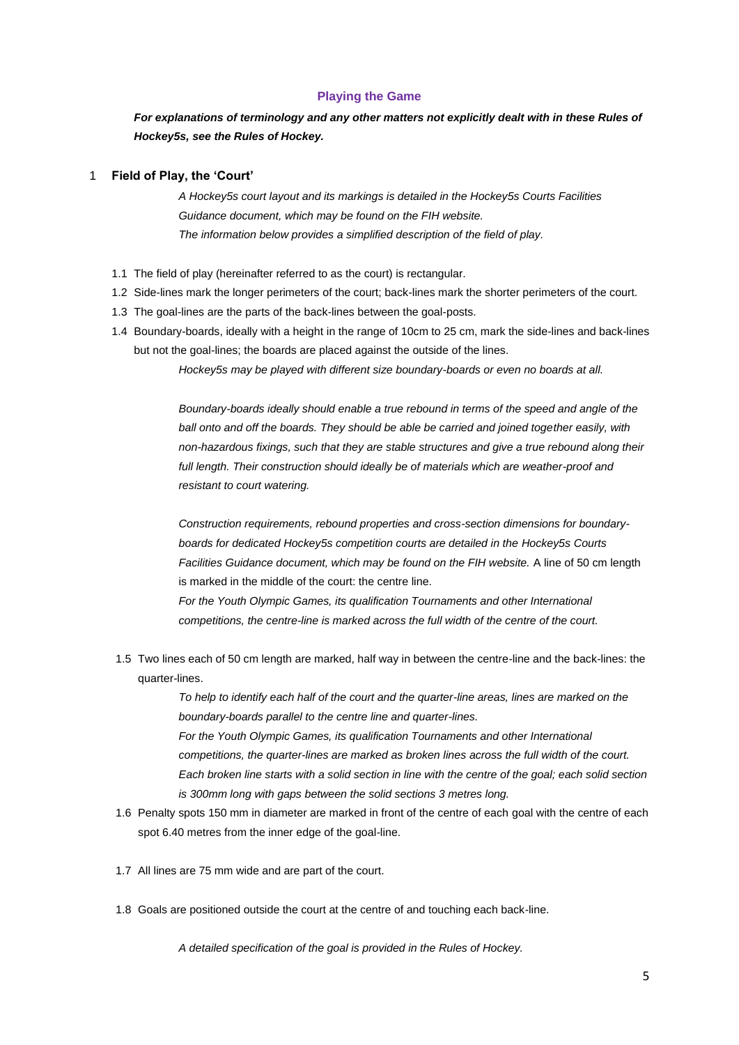#### **Playing the Game**

*For explanations of terminology and any other matters not explicitly dealt with in these Rules of Hockey5s, see the Rules of Hockey.* 

### 1 **Field of Play, the 'Court'**

*A Hockey5s court layout and its markings is detailed in the Hockey5s Courts Facilities Guidance document, which may be found on the FIH website. The information below provides a simplified description of the field of play.* 

- 1.1 The field of play (hereinafter referred to as the court) is rectangular.
- 1.2 Side-lines mark the longer perimeters of the court; back-lines mark the shorter perimeters of the court.
- 1.3 The goal-lines are the parts of the back-lines between the goal-posts.
- 1.4 Boundary-boards, ideally with a height in the range of 10cm to 25 cm, mark the side-lines and back-lines but not the goal-lines; the boards are placed against the outside of the lines.

*Hockey5s may be played with different size boundary-boards or even no boards at all.* 

*Boundary-boards ideally should enable a true rebound in terms of the speed and angle of the ball onto and off the boards. They should be able be carried and joined together easily, with non-hazardous fixings, such that they are stable structures and give a true rebound along their*  full length. Their construction should ideally be of materials which are weather-proof and *resistant to court watering.* 

*Construction requirements, rebound properties and cross-section dimensions for boundaryboards for dedicated Hockey5s competition courts are detailed in the Hockey5s Courts*  Facilities Guidance document, which may be found on the FIH website. A line of 50 cm length is marked in the middle of the court: the centre line.

*For the Youth Olympic Games, its qualification Tournaments and other International competitions, the centre-line is marked across the full width of the centre of the court.* 

1.5 Two lines each of 50 cm length are marked, half way in between the centre-line and the back-lines: the quarter-lines.

> *To help to identify each half of the court and the quarter-line areas, lines are marked on the boundary-boards parallel to the centre line and quarter-lines. For the Youth Olympic Games, its qualification Tournaments and other International competitions, the quarter-lines are marked as broken lines across the full width of the court. Each broken line starts with a solid section in line with the centre of the goal; each solid section is 300mm long with gaps between the solid sections 3 metres long.*

- 1.6 Penalty spots 150 mm in diameter are marked in front of the centre of each goal with the centre of each spot 6.40 metres from the inner edge of the goal-line.
- 1.7 All lines are 75 mm wide and are part of the court.
- 1.8 Goals are positioned outside the court at the centre of and touching each back-line.

*A detailed specification of the goal is provided in the Rules of Hockey.*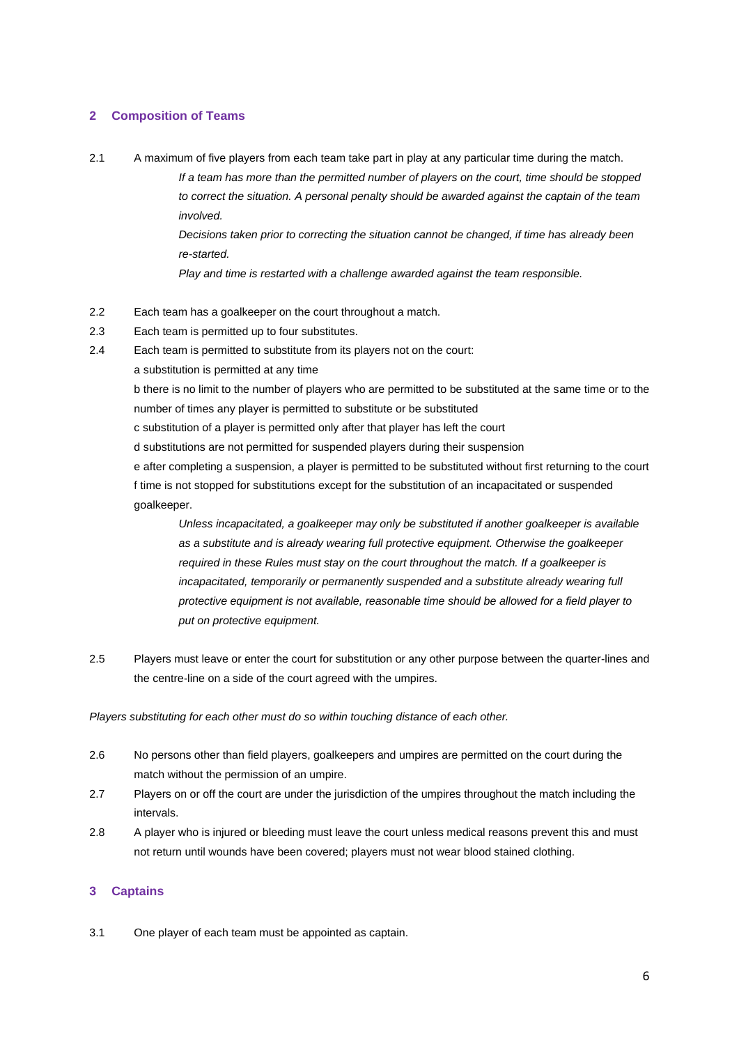## **2 Composition of Teams**

2.1 A maximum of five players from each team take part in play at any particular time during the match.

*If a team has more than the permitted number of players on the court, time should be stopped to correct the situation. A personal penalty should be awarded against the captain of the team involved.* 

*Decisions taken prior to correcting the situation cannot be changed, if time has already been re-started.* 

*Play and time is restarted with a challenge awarded against the team responsible.* 

- 2.2 Each team has a goalkeeper on the court throughout a match.
- 2.3 Each team is permitted up to four substitutes.
- 2.4 Each team is permitted to substitute from its players not on the court:
	- a substitution is permitted at any time

b there is no limit to the number of players who are permitted to be substituted at the same time or to the number of times any player is permitted to substitute or be substituted

- c substitution of a player is permitted only after that player has left the court
- d substitutions are not permitted for suspended players during their suspension

e after completing a suspension, a player is permitted to be substituted without first returning to the court f time is not stopped for substitutions except for the substitution of an incapacitated or suspended goalkeeper.

*Unless incapacitated, a goalkeeper may only be substituted if another goalkeeper is available as a substitute and is already wearing full protective equipment. Otherwise the goalkeeper required in these Rules must stay on the court throughout the match. If a goalkeeper is incapacitated, temporarily or permanently suspended and a substitute already wearing full protective equipment is not available, reasonable time should be allowed for a field player to put on protective equipment.* 

2.5 Players must leave or enter the court for substitution or any other purpose between the quarter-lines and the centre-line on a side of the court agreed with the umpires.

*Players substituting for each other must do so within touching distance of each other.* 

- 2.6 No persons other than field players, goalkeepers and umpires are permitted on the court during the match without the permission of an umpire.
- 2.7 Players on or off the court are under the jurisdiction of the umpires throughout the match including the intervals.
- 2.8 A player who is injured or bleeding must leave the court unless medical reasons prevent this and must not return until wounds have been covered; players must not wear blood stained clothing.

## **3 Captains**

3.1 One player of each team must be appointed as captain.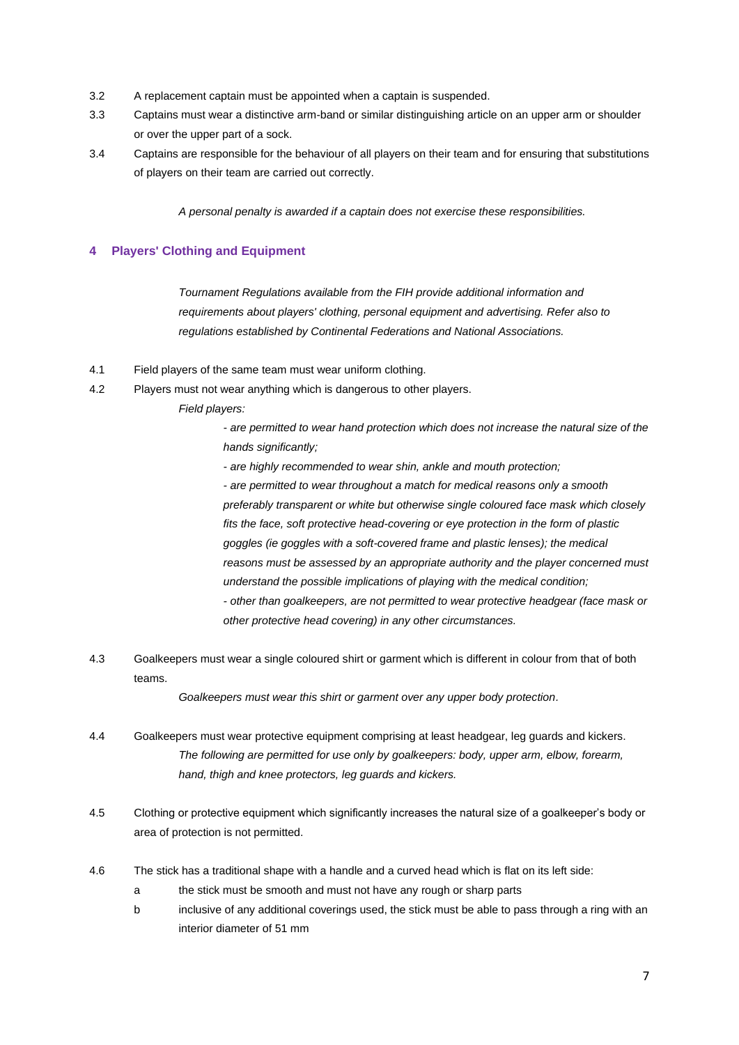- 3.2 A replacement captain must be appointed when a captain is suspended.
- 3.3 Captains must wear a distinctive arm-band or similar distinguishing article on an upper arm or shoulder or over the upper part of a sock.
- 3.4 Captains are responsible for the behaviour of all players on their team and for ensuring that substitutions of players on their team are carried out correctly.

*A personal penalty is awarded if a captain does not exercise these responsibilities.* 

# **4 Players' Clothing and Equipment**

*Tournament Regulations available from the FIH provide additional information and requirements about players' clothing, personal equipment and advertising. Refer also to regulations established by Continental Federations and National Associations.* 

- 4.1 Field players of the same team must wear uniform clothing.
- 4.2 Players must not wear anything which is dangerous to other players.
	- *Field players:*

*- are permitted to wear hand protection which does not increase the natural size of the hands significantly;*

*- are highly recommended to wear shin, ankle and mouth protection;* 

*- are permitted to wear throughout a match for medical reasons only a smooth preferably transparent or white but otherwise single coloured face mask which closely fits the face, soft protective head-covering or eye protection in the form of plastic goggles (ie goggles with a soft-covered frame and plastic lenses); the medical reasons must be assessed by an appropriate authority and the player concerned must understand the possible implications of playing with the medical condition; - other than goalkeepers, are not permitted to wear protective headgear (face mask or other protective head covering) in any other circumstances.* 

4.3 Goalkeepers must wear a single coloured shirt or garment which is different in colour from that of both teams.

*Goalkeepers must wear this shirt or garment over any upper body protection.*

- 4.4 Goalkeepers must wear protective equipment comprising at least headgear, leg guards and kickers. *The following are permitted for use only by goalkeepers: body, upper arm, elbow, forearm, hand, thigh and knee protectors, leg guards and kickers.*
- 4.5 Clothing or protective equipment which significantly increases the natural size of a goalkeeper's body or area of protection is not permitted.
- 4.6 The stick has a traditional shape with a handle and a curved head which is flat on its left side:
	- a the stick must be smooth and must not have any rough or sharp parts
	- b inclusive of any additional coverings used, the stick must be able to pass through a ring with an interior diameter of 51 mm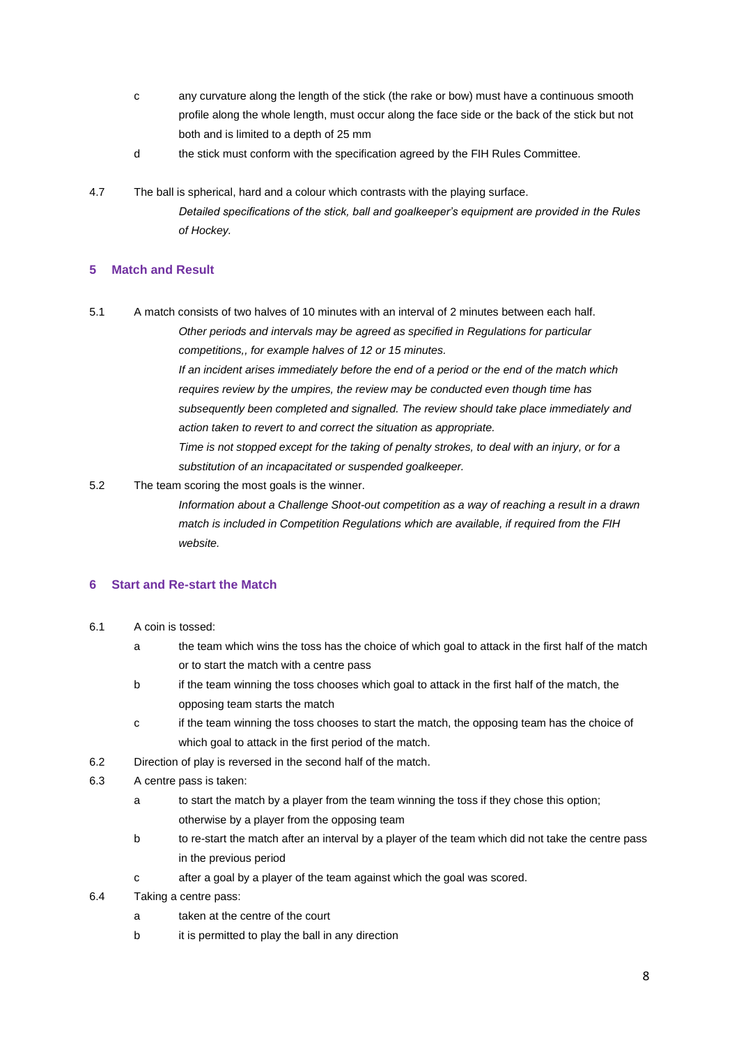- c any curvature along the length of the stick (the rake or bow) must have a continuous smooth profile along the whole length, must occur along the face side or the back of the stick but not both and is limited to a depth of 25 mm
- d the stick must conform with the specification agreed by the FIH Rules Committee.
- 4.7 The ball is spherical, hard and a colour which contrasts with the playing surface. *Detailed specifications of the stick, ball and goalkeeper's equipment are provided in the Rules of Hockey.*

# **5 Match and Result**

5.1 A match consists of two halves of 10 minutes with an interval of 2 minutes between each half. *Other periods and intervals may be agreed as specified in Regulations for particular competitions,, for example halves of 12 or 15 minutes.* 

> *If an incident arises immediately before the end of a period or the end of the match which requires review by the umpires, the review may be conducted even though time has subsequently been completed and signalled. The review should take place immediately and action taken to revert to and correct the situation as appropriate.*

*Time is not stopped except for the taking of penalty strokes, to deal with an injury, or for a substitution of an incapacitated or suspended goalkeeper.* 

5.2 The team scoring the most goals is the winner.

*Information about a Challenge Shoot-out competition as a way of reaching a result in a drawn match is included in Competition Regulations which are available, if required from the FIH website.* 

### **6 Start and Re-start the Match**

- 6.1 A coin is tossed:
	- a the team which wins the toss has the choice of which goal to attack in the first half of the match or to start the match with a centre pass
	- b if the team winning the toss chooses which goal to attack in the first half of the match, the opposing team starts the match
	- c if the team winning the toss chooses to start the match, the opposing team has the choice of which goal to attack in the first period of the match.
- 6.2 Direction of play is reversed in the second half of the match.
- 6.3 A centre pass is taken:
	- a to start the match by a player from the team winning the toss if they chose this option; otherwise by a player from the opposing team
	- b to re-start the match after an interval by a player of the team which did not take the centre pass in the previous period
	- c after a goal by a player of the team against which the goal was scored.
- 6.4 Taking a centre pass:
	- a taken at the centre of the court
	- b it is permitted to play the ball in any direction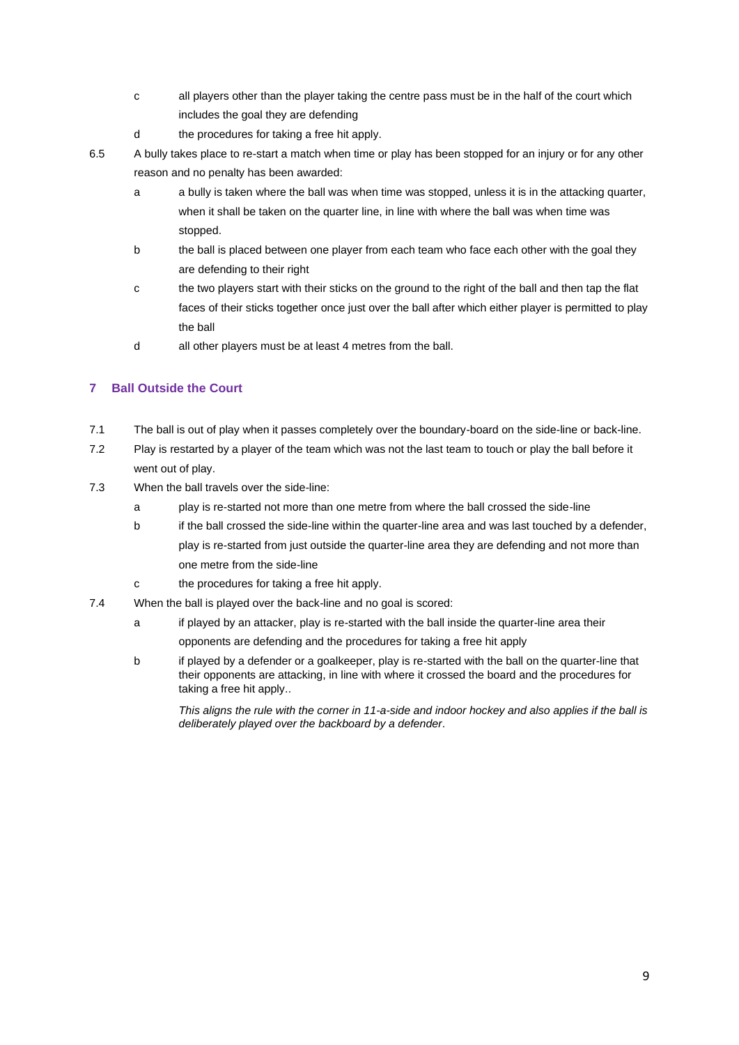- c all players other than the player taking the centre pass must be in the half of the court which includes the goal they are defending
- d the procedures for taking a free hit apply.
- 6.5 A bully takes place to re-start a match when time or play has been stopped for an injury or for any other reason and no penalty has been awarded:
	- a a bully is taken where the ball was when time was stopped, unless it is in the attacking quarter, when it shall be taken on the quarter line, in line with where the ball was when time was stopped.
	- b the ball is placed between one player from each team who face each other with the goal they are defending to their right
	- c the two players start with their sticks on the ground to the right of the ball and then tap the flat faces of their sticks together once just over the ball after which either player is permitted to play the ball
	- d all other players must be at least 4 metres from the ball.

# **7 Ball Outside the Court**

- 7.1 The ball is out of play when it passes completely over the boundary-board on the side-line or back-line.
- 7.2 Play is restarted by a player of the team which was not the last team to touch or play the ball before it went out of play.
- 7.3 When the ball travels over the side-line:
	- a play is re-started not more than one metre from where the ball crossed the side-line
	- b if the ball crossed the side-line within the quarter-line area and was last touched by a defender, play is re-started from just outside the quarter-line area they are defending and not more than one metre from the side-line
	- c the procedures for taking a free hit apply.
- 7.4 When the ball is played over the back-line and no goal is scored:
	- a if played by an attacker, play is re-started with the ball inside the quarter-line area their opponents are defending and the procedures for taking a free hit apply
	- b if played by a defender or a goalkeeper, play is re-started with the ball on the quarter-line that their opponents are attacking, in line with where it crossed the board and the procedures for taking a free hit apply..

*This aligns the rule with the corner in 11-a-side and indoor hockey and also applies if the ball is deliberately played over the backboard by a defender*.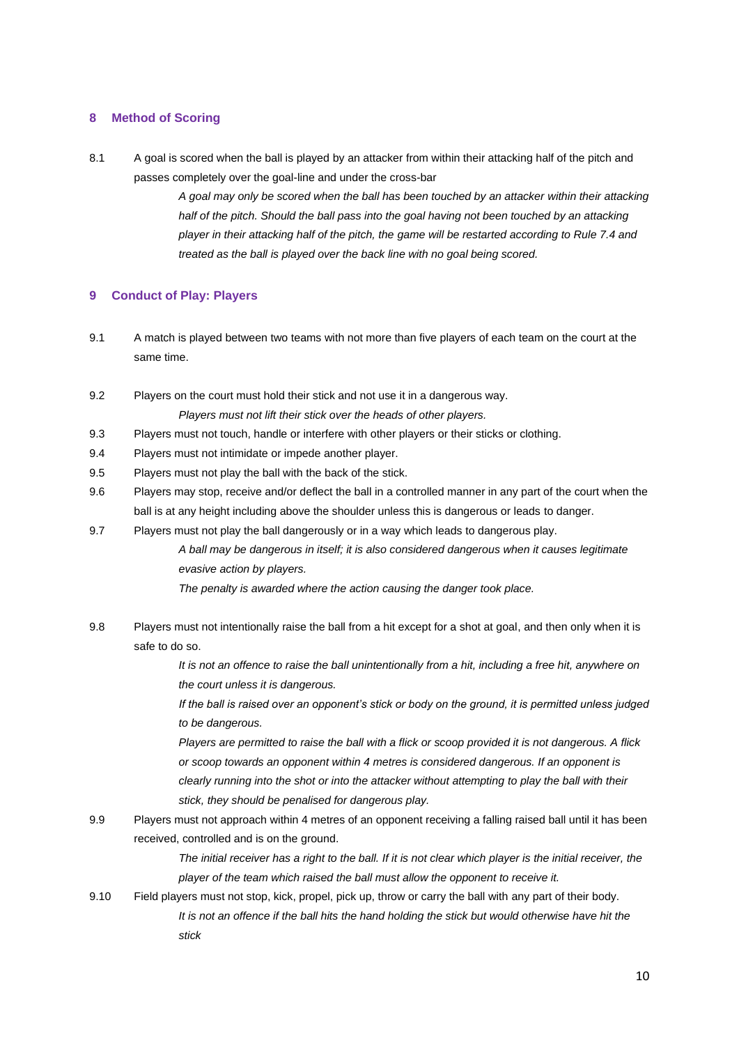### **8 Method of Scoring**

8.1 A goal is scored when the ball is played by an attacker from within their attacking half of the pitch and passes completely over the goal-line and under the cross-bar

> *A goal may only be scored when the ball has been touched by an attacker within their attacking half of the pitch. Should the ball pass into the goal having not been touched by an attacking player in their attacking half of the pitch, the game will be restarted according to Rule 7.4 and treated as the ball is played over the back line with no goal being scored.*

### **9 Conduct of Play: Players**

- 9.1 A match is played between two teams with not more than five players of each team on the court at the same time.
- 9.2 Players on the court must hold their stick and not use it in a dangerous way. *Players must not lift their stick over the heads of other players.*
- 9.3 Players must not touch, handle or interfere with other players or their sticks or clothing.
- 9.4 Players must not intimidate or impede another player.
- 9.5 Players must not play the ball with the back of the stick.
- 9.6 Players may stop, receive and/or deflect the ball in a controlled manner in any part of the court when the ball is at any height including above the shoulder unless this is dangerous or leads to danger.
- 9.7 Players must not play the ball dangerously or in a way which leads to dangerous play. *A ball may be dangerous in itself; it is also considered dangerous when it causes legitimate evasive action by players. The penalty is awarded where the action causing the danger took place.*
- 9.8 Players must not intentionally raise the ball from a hit except for a shot at goal, and then only when it is safe to do so.

*It is not an offence to raise the ball unintentionally from a hit, including a free hit, anywhere on the court unless it is dangerous.* 

*If the ball is raised over an opponent's stick or body on the ground, it is permitted unless judged to be dangerous.* 

*Players are permitted to raise the ball with a flick or scoop provided it is not dangerous. A flick or scoop towards an opponent within 4 metres is considered dangerous. If an opponent is clearly running into the shot or into the attacker without attempting to play the ball with their stick, they should be penalised for dangerous play.* 

9.9 Players must not approach within 4 metres of an opponent receiving a falling raised ball until it has been received, controlled and is on the ground.

> The initial receiver has a right to the ball. If it is not clear which player is the initial receiver, the *player of the team which raised the ball must allow the opponent to receive it.*

9.10 Field players must not stop, kick, propel, pick up, throw or carry the ball with any part of their body. *It is not an offence if the ball hits the hand holding the stick but would otherwise have hit the stick*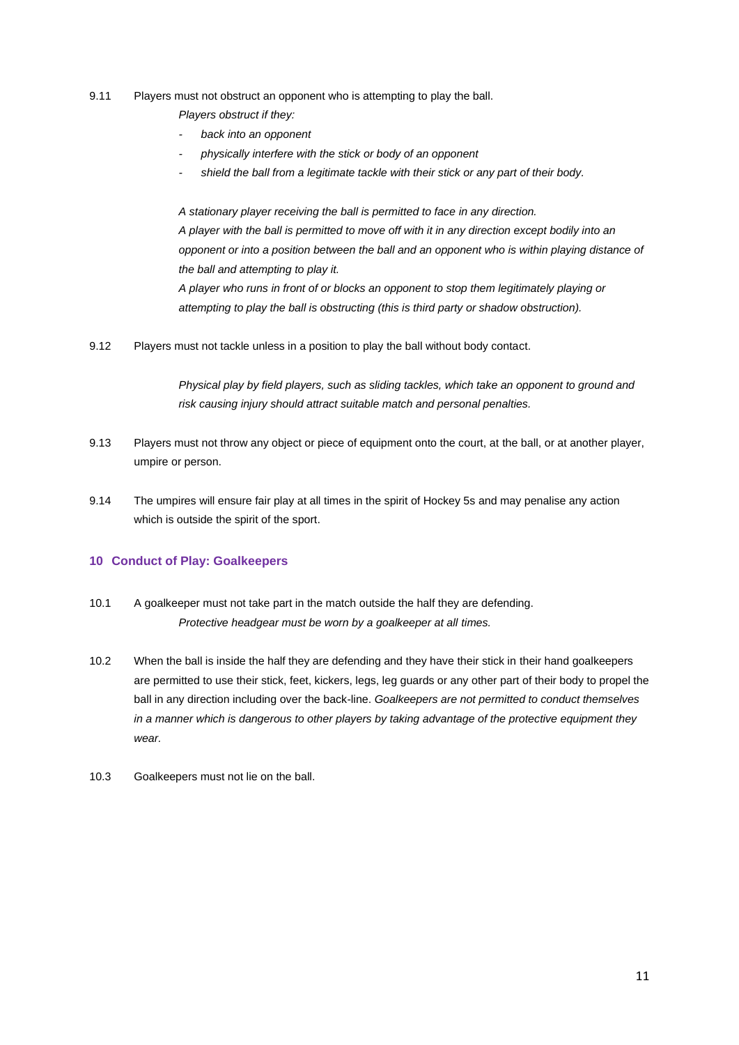#### 9.11 Players must not obstruct an opponent who is attempting to play the ball.

*Players obstruct if they:* 

- *- back into an opponent*
- *- physically interfere with the stick or body of an opponent*
- *- shield the ball from a legitimate tackle with their stick or any part of their body.*

*A stationary player receiving the ball is permitted to face in any direction. A player with the ball is permitted to move off with it in any direction except bodily into an opponent or into a position between the ball and an opponent who is within playing distance of the ball and attempting to play it. A player who runs in front of or blocks an opponent to stop them legitimately playing or attempting to play the ball is obstructing (this is third party or shadow obstruction).* 

9.12 Players must not tackle unless in a position to play the ball without body contact.

*Physical play by field players, such as sliding tackles, which take an opponent to ground and risk causing injury should attract suitable match and personal penalties.*

- 9.13 Players must not throw any object or piece of equipment onto the court, at the ball, or at another player, umpire or person.
- 9.14 The umpires will ensure fair play at all times in the spirit of Hockey 5s and may penalise any action which is outside the spirit of the sport.

# **10 Conduct of Play: Goalkeepers**

- 10.1 A goalkeeper must not take part in the match outside the half they are defending. *Protective headgear must be worn by a goalkeeper at all times.*
- 10.2 When the ball is inside the half they are defending and they have their stick in their hand goalkeepers are permitted to use their stick, feet, kickers, legs, leg guards or any other part of their body to propel the ball in any direction including over the back-line. *Goalkeepers are not permitted to conduct themselves in a manner which is dangerous to other players by taking advantage of the protective equipment they wear.*
- 10.3 Goalkeepers must not lie on the ball.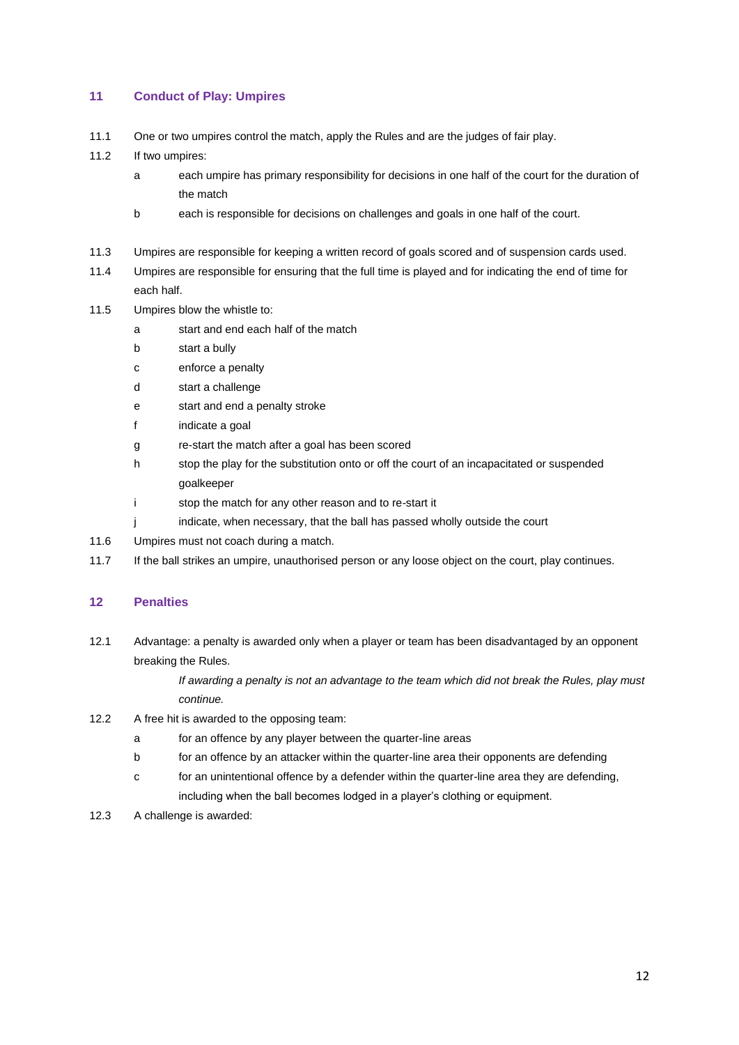# **11 Conduct of Play: Umpires**

- 11.1 One or two umpires control the match, apply the Rules and are the judges of fair play.
- 11.2 If two umpires:
	- a each umpire has primary responsibility for decisions in one half of the court for the duration of the match
	- b each is responsible for decisions on challenges and goals in one half of the court.
- 11.3 Umpires are responsible for keeping a written record of goals scored and of suspension cards used.
- 11.4 Umpires are responsible for ensuring that the full time is played and for indicating the end of time for each half.
- 11.5 Umpires blow the whistle to:
	- a start and end each half of the match
	- b start a bully
	- c enforce a penalty
	- d start a challenge
	- e start and end a penalty stroke
	- f indicate a goal
	- g re-start the match after a goal has been scored
	- h stop the play for the substitution onto or off the court of an incapacitated or suspended goalkeeper
	- i stop the match for any other reason and to re-start it
	- j indicate, when necessary, that the ball has passed wholly outside the court
- 11.6 Umpires must not coach during a match.
- 11.7 If the ball strikes an umpire, unauthorised person or any loose object on the court, play continues.

### **12 Penalties**

12.1 Advantage: a penalty is awarded only when a player or team has been disadvantaged by an opponent breaking the Rules.

> *If awarding a penalty is not an advantage to the team which did not break the Rules, play must continue.*

- 12.2 A free hit is awarded to the opposing team:
	- a for an offence by any player between the quarter-line areas
	- b for an offence by an attacker within the quarter-line area their opponents are defending
	- c for an unintentional offence by a defender within the quarter-line area they are defending, including when the ball becomes lodged in a player's clothing or equipment.
- 12.3 A challenge is awarded: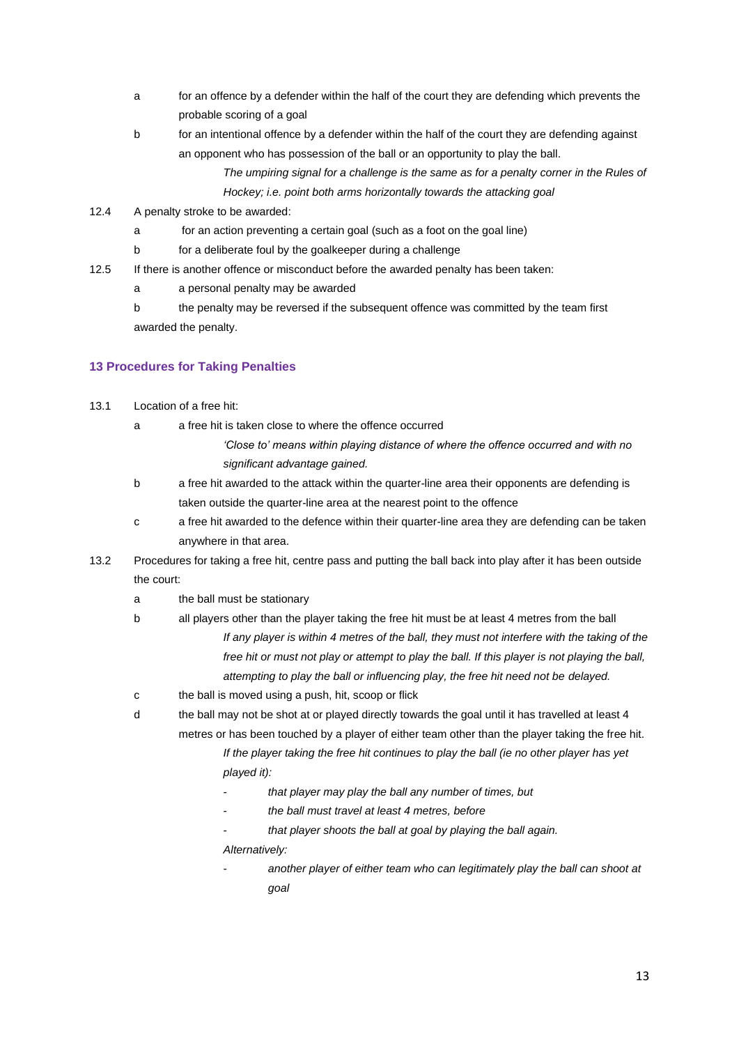- a for an offence by a defender within the half of the court they are defending which prevents the probable scoring of a goal
- b for an intentional offence by a defender within the half of the court they are defending against an opponent who has possession of the ball or an opportunity to play the ball.
	- *The umpiring signal for a challenge is the same as for a penalty corner in the Rules of Hockey; i.e. point both arms horizontally towards the attacking goal*
- 12.4 A penalty stroke to be awarded:
	- a for an action preventing a certain goal (such as a foot on the goal line)
	- b for a deliberate foul by the goalkeeper during a challenge
- 12.5 If there is another offence or misconduct before the awarded penalty has been taken:
	- a a personal penalty may be awarded
	- b the penalty may be reversed if the subsequent offence was committed by the team first awarded the penalty.

## **13 Procedures for Taking Penalties**

- 13.1 Location of a free hit:
	- a a free hit is taken close to where the offence occurred
		- *'Close to' means within playing distance of where the offence occurred and with no significant advantage gained.*
	- b a free hit awarded to the attack within the quarter-line area their opponents are defending is taken outside the quarter-line area at the nearest point to the offence
	- c a free hit awarded to the defence within their quarter-line area they are defending can be taken anywhere in that area.
- 13.2 Procedures for taking a free hit, centre pass and putting the ball back into play after it has been outside the court:
	- a the ball must be stationary
	- b all players other than the player taking the free hit must be at least 4 metres from the ball *If any player is within 4 metres of the ball, they must not interfere with the taking of the*  free hit or must not play or attempt to play the ball. If this player is not playing the ball, *attempting to play the ball or influencing play, the free hit need not be delayed.*
	- c the ball is moved using a push, hit, scoop or flick
	- d the ball may not be shot at or played directly towards the goal until it has travelled at least 4 metres or has been touched by a player of either team other than the player taking the free hit.

*If the player taking the free hit continues to play the ball (ie no other player has yet played it):* 

- *that player may play the ball any number of times, but*
- *the ball must travel at least 4 metres, before*
- *that player shoots the ball at goal by playing the ball again.*

*Alternatively:* 

- *another player of either team who can legitimately play the ball can shoot at goal*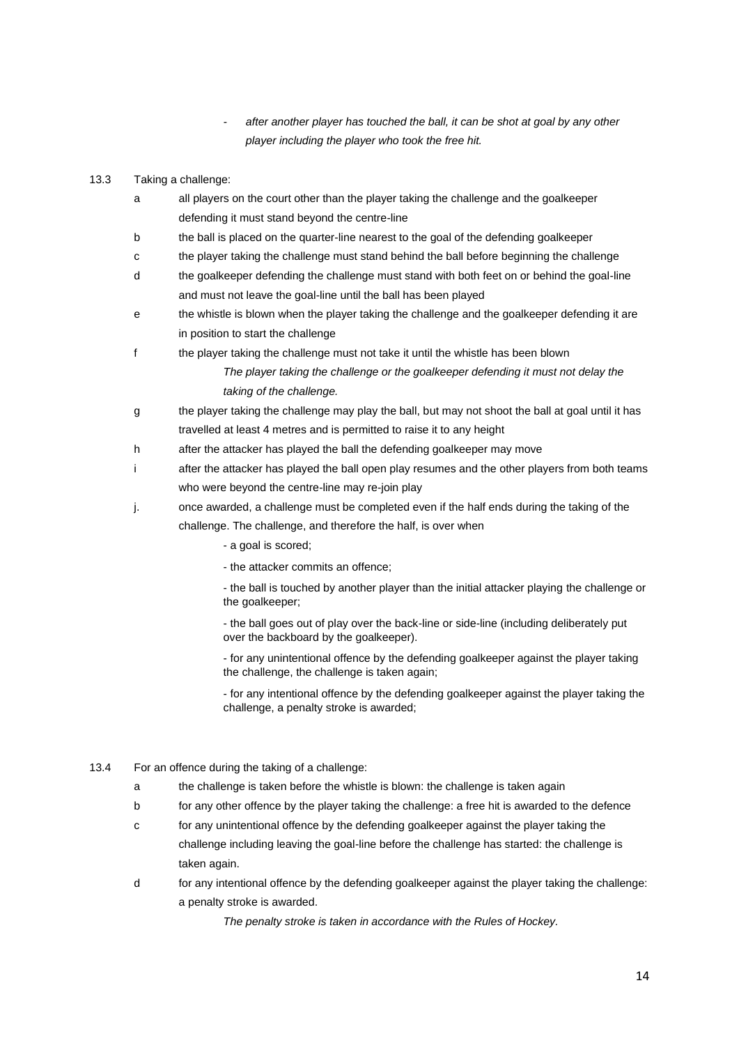- *- after another player has touched the ball, it can be shot at goal by any other player including the player who took the free hit.*
- 13.3 Taking a challenge:
	- a all players on the court other than the player taking the challenge and the goalkeeper defending it must stand beyond the centre-line
	- b the ball is placed on the quarter-line nearest to the goal of the defending goalkeeper
	- c the player taking the challenge must stand behind the ball before beginning the challenge
	- d the goalkeeper defending the challenge must stand with both feet on or behind the goal-line and must not leave the goal-line until the ball has been played
	- e the whistle is blown when the player taking the challenge and the goalkeeper defending it are in position to start the challenge
	- f the player taking the challenge must not take it until the whistle has been blown

*The player taking the challenge or the goalkeeper defending it must not delay the taking of the challenge.* 

- g the player taking the challenge may play the ball, but may not shoot the ball at goal until it has travelled at least 4 metres and is permitted to raise it to any height
- h after the attacker has played the ball the defending goalkeeper may move
- i after the attacker has played the ball open play resumes and the other players from both teams who were beyond the centre-line may re-join play
- j. once awarded, a challenge must be completed even if the half ends during the taking of the challenge. The challenge, and therefore the half, is over when
	- a goal is scored;
	- the attacker commits an offence;

- the ball is touched by another player than the initial attacker playing the challenge or the goalkeeper;

- the ball goes out of play over the back-line or side-line (including deliberately put over the backboard by the goalkeeper).

- for any unintentional offence by the defending goalkeeper against the player taking the challenge, the challenge is taken again;

- for any intentional offence by the defending goalkeeper against the player taking the challenge, a penalty stroke is awarded;

- 13.4 For an offence during the taking of a challenge:
	- a the challenge is taken before the whistle is blown: the challenge is taken again
	- b for any other offence by the player taking the challenge: a free hit is awarded to the defence
	- c for any unintentional offence by the defending goalkeeper against the player taking the challenge including leaving the goal-line before the challenge has started: the challenge is taken again.
	- d for any intentional offence by the defending goalkeeper against the player taking the challenge: a penalty stroke is awarded.

*The penalty stroke is taken in accordance with the Rules of Hockey.*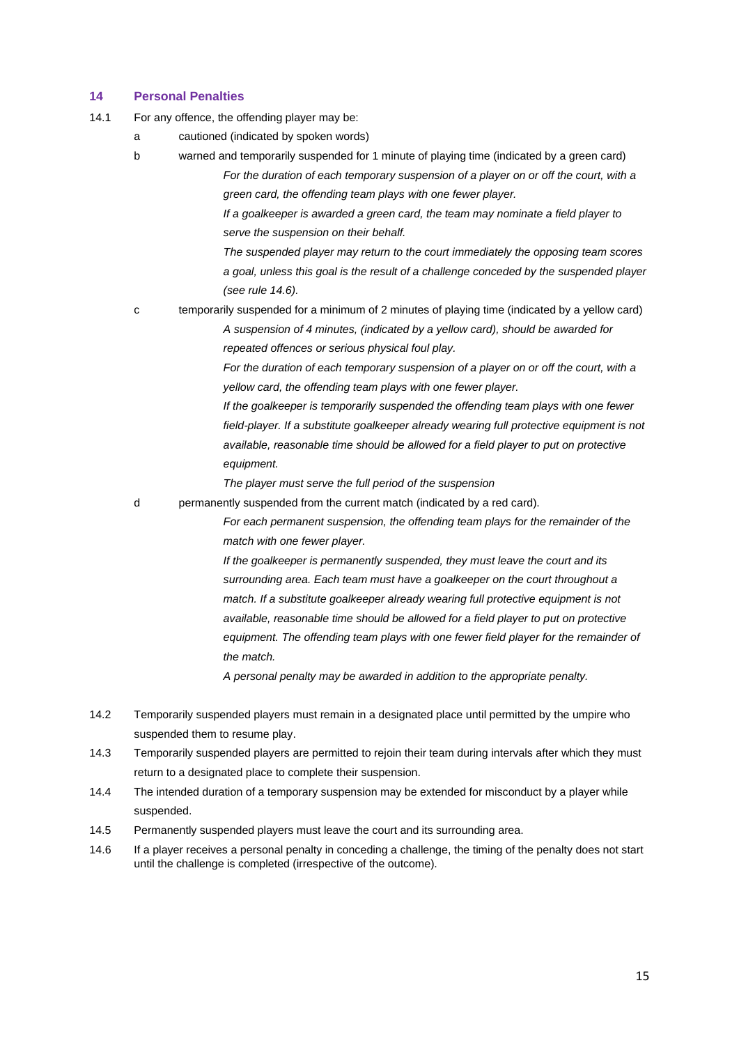### **14 Personal Penalties**

- 14.1 For any offence, the offending player may be:
	- a cautioned (indicated by spoken words)
	- b warned and temporarily suspended for 1 minute of playing time (indicated by a green card) *For the duration of each temporary suspension of a player on or off the court, with a green card, the offending team plays with one fewer player.*

*If a goalkeeper is awarded a green card, the team may nominate a field player to serve the suspension on their behalf.* 

*The suspended player may return to the court immediately the opposing team scores a goal, unless this goal is the result of a challenge conceded by the suspended player (see rule 14.6).*

c temporarily suspended for a minimum of 2 minutes of playing time (indicated by a yellow card) *A suspension of 4 minutes, (indicated by a yellow card), should be awarded for repeated offences or serious physical foul play.*

> *For the duration of each temporary suspension of a player on or off the court, with a yellow card, the offending team plays with one fewer player.*

*If the goalkeeper is temporarily suspended the offending team plays with one fewer field-player. If a substitute goalkeeper already wearing full protective equipment is not available, reasonable time should be allowed for a field player to put on protective equipment.* 

*The player must serve the full period of the suspension* 

d permanently suspended from the current match (indicated by a red card).

*For each permanent suspension, the offending team plays for the remainder of the match with one fewer player.* 

*If the goalkeeper is permanently suspended, they must leave the court and its surrounding area. Each team must have a goalkeeper on the court throughout a match. If a substitute goalkeeper already wearing full protective equipment is not available, reasonable time should be allowed for a field player to put on protective*  equipment. The offending team plays with one fewer field player for the remainder of *the match.* 

*A personal penalty may be awarded in addition to the appropriate penalty.* 

- 14.2 Temporarily suspended players must remain in a designated place until permitted by the umpire who suspended them to resume play.
- 14.3 Temporarily suspended players are permitted to rejoin their team during intervals after which they must return to a designated place to complete their suspension.
- 14.4 The intended duration of a temporary suspension may be extended for misconduct by a player while suspended.
- 14.5 Permanently suspended players must leave the court and its surrounding area.
- 14.6 If a player receives a personal penalty in conceding a challenge, the timing of the penalty does not start until the challenge is completed (irrespective of the outcome).